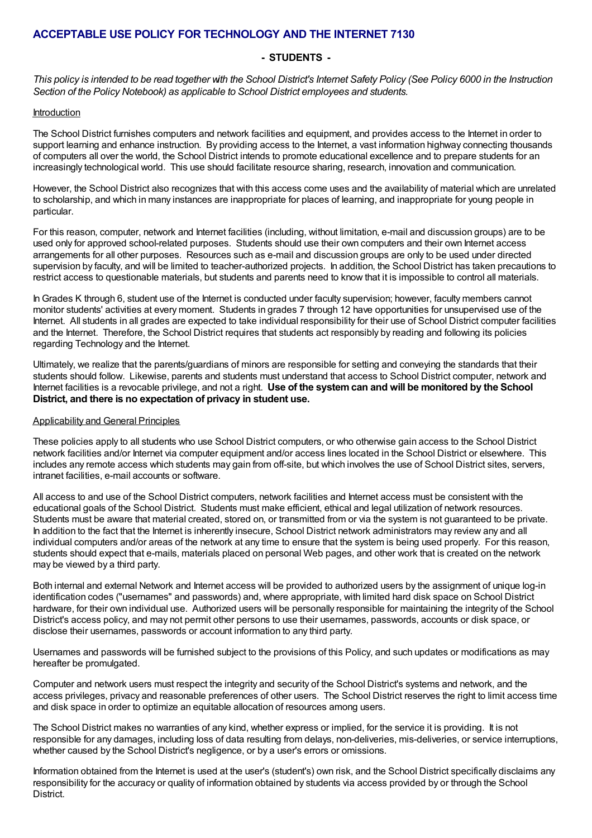# **ACCEPTABLE USE POLICY FOR TECHNOLOGY AND THE INTERNET 7130**

# **- STUDENTS -**

This policy is intended to be read together with the School District's Internet Safety Policy (See Policy 6000 in the Instruction *Section of the Policy Notebook) as applicable to School District employees and students.*

## **Introduction**

The School District furnishes computers and network facilities and equipment, and provides access to the Internet in order to support learning and enhance instruction. By providing access to the Internet, a vast information highway connecting thousands of computers all over the world, the School District intends to promote educational excellence and to prepare students for an increasingly technological world. This use should facilitate resource sharing, research, innovation and communication.

However, the School District also recognizes that with this access come uses and the availability of material which are unrelated to scholarship, and which in many instances are inappropriate for places of learning, and inappropriate for young people in particular.

For this reason, computer, network and Internet facilities (including, without limitation, e-mail and discussion groups) are to be used only for approved school-related purposes. Students should use their own computers and their own Internet access arrangements for all other purposes. Resources such as e-mail and discussion groups are only to be used under directed supervision by faculty, and will be limited to teacher-authorized projects. In addition, the School District has taken precautions to restrict access to questionable materials, but students and parents need to know that it is impossible to control all materials.

In Grades K through 6, student use of the Internet is conducted under faculty supervision; however, faculty members cannot monitor students' activities at every moment. Students in grades 7 through 12 have opportunities for unsupervised use of the Internet. All students in all grades are expected to take individual responsibility for their use of School District computer facilities and the Internet. Therefore, the School District requires that students act responsibly by reading and following its policies regarding Technology and the Internet.

Ultimately, we realize that the parents/guardians of minors are responsible for setting and conveying the standards that their students should follow. Likewise, parents and students must understand that access to School District computer, network and Internet facilities is a revocable privilege, and not a right. **Use of the systemcan and will be monitored by the School District, and there is no expectation of privacy in student use.**

#### Applicability and General Principles

These policies apply to all students who use School District computers, or who otherwise gain access to the School District network facilities and/or Internet via computer equipment and/or access lines located in the School District or elsewhere. This includes any remote access which students may gain from off-site, but which involves the use of School District sites, servers, intranet facilities, e-mail accounts or software.

All access to and use of the School District computers, network facilities and Internet access must be consistent with the educational goals of the School District. Students must make efficient, ethical and legal utilization of network resources. Students must be aware that material created, stored on, or transmitted from or via the system is not guaranteed to be private. In addition to the fact that the Internet is inherently insecure, School District network administrators may review any and all individual computers and/or areas of the network at any time to ensure that the system is being used properly. For this reason, students should expect that e-mails, materials placed on personal Web pages, and other work that is created on the network may be viewed by a third party.

Both internal and external Network and Internet access will be provided to authorized users by the assignment of unique log-in identification codes ("usernames" and passwords) and, where appropriate, with limited hard disk space on School District hardware, for their own individual use. Authorized users will be personally responsible for maintaining the integrity of the School District's access policy, and may not permit other persons to use their usernames, passwords, accounts or disk space, or disclose their usernames, passwords or account information to any third party.

Usernames and passwords will be furnished subject to the provisions of this Policy, and such updates or modifications as may hereafter be promulgated.

Computer and network users must respect the integrity and security of the School District's systems and network, and the access privileges, privacy and reasonable preferences of other users. The School District reserves the right to limit access time and disk space in order to optimize an equitable allocation of resources among users.

The School District makes no warranties of any kind, whether express or implied, for the service it is providing. It is not responsible for any damages, including loss of data resulting from delays, non-deliveries, mis-deliveries, or service interruptions, whether caused by the School District's negligence, or by a user's errors or omissions.

Information obtained from the Internet is used at the user's (student's) own risk, and the School District specifically disclaims any responsibility for the accuracy or quality of information obtained by students via access provided by or through the School District.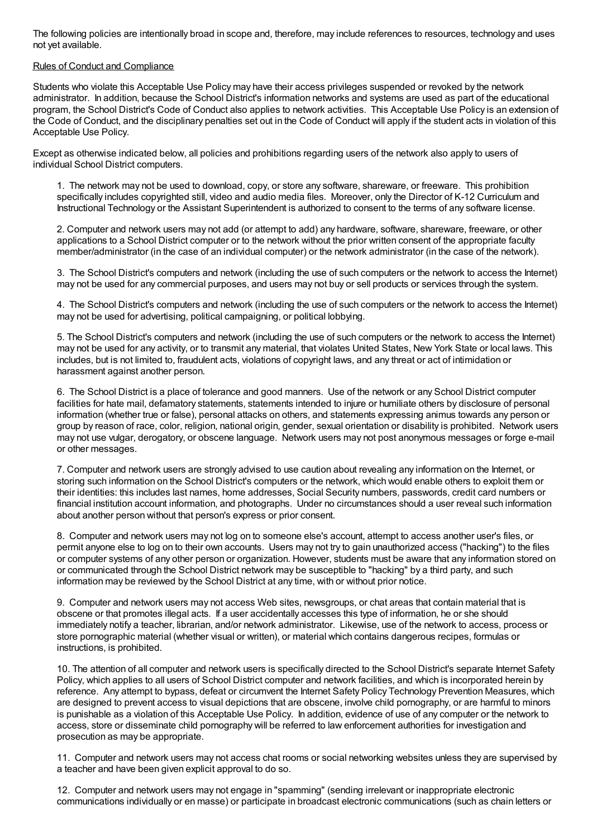The following policies are intentionally broad in scope and, therefore, may include references to resources, technology and uses not yet available.

# Rules of Conduct and Compliance

Students who violate this Acceptable Use Policy may have their access privileges suspended or revoked by the network administrator. In addition, because the School District's information networks and systems are used as part of the educational program, the School District's Code of Conduct also applies to network activities. This Acceptable Use Policy is an extension of the Code of Conduct, and the disciplinary penalties set out in the Code of Conduct will apply if the student acts in violation of this Acceptable Use Policy.

Except as otherwise indicated below, all policies and prohibitions regarding users of the network also apply to users of individual School District computers.

1. The network may not be used to download, copy, or store any software, shareware, or freeware. This prohibition specifically includes copyrighted still, video and audio media files. Moreover, only the Director of K-12 Curriculum and Instructional Technology or the Assistant Superintendent is authorized to consent to the terms of any software license.

2. Computer and network users may not add (or attempt to add) any hardware, software, shareware, freeware, or other applications to a School District computer or to the network without the prior written consent of the appropriate faculty member/administrator (in the case of an individual computer) or the network administrator (in the case of the network).

3. The School District's computers and network (including the use of such computers or the network to access the Internet) may not be used for any commercial purposes, and users may not buy or sell products or services through the system.

4. The School District's computers and network (including the use of such computers or the network to access the Internet) may not be used for advertising, political campaigning, or political lobbying.

5. The School District's computers and network (including the use of such computers or the network to access the Internet) may not be used for any activity, or to transmit any material, that violates United States, New York State or local laws. This includes, but is not limited to, fraudulent acts, violations of copyright laws, and any threat or act of intimidation or harassment against another person.

6. The School District is a place of tolerance and good manners. Use of the network or any School District computer facilities for hate mail, defamatory statements, statements intended to injure or humiliate others by disclosure of personal information (whether true or false), personal attacks on others, and statements expressing animus towards any person or group by reason of race, color, religion, national origin, gender, sexual orientation or disability is prohibited. Network users may not use vulgar, derogatory, or obscene language. Network users may not post anonymous messages or forge e-mail or other messages.

7. Computer and network users are strongly advised to use caution about revealing any information on the Internet, or storing such information on the School District's computers or the network, which would enable others to exploit them or their identities: this includes last names, home addresses, Social Security numbers, passwords, credit card numbers or financial institution account information, and photographs. Under no circumstances should a user reveal such information about another person without that person's express or prior consent.

8. Computer and network users may not log on to someone else's account, attempt to access another user's files, or permit anyone else to log on to their own accounts. Users may not try to gain unauthorized access ("hacking") to the files or computer systems of any other person or organization. However, students must be aware that any information stored on or communicated through the School District network may be susceptible to "hacking" by a third party, and such information may be reviewed by the School District at any time, with or without prior notice.

9. Computer and network users may not access Web sites, newsgroups, or chat areas that contain material that is obscene or that promotes illegal acts. If a user accidentally accesses this type of information, he or she should immediately notify a teacher, librarian, and/or network administrator. Likewise, use of the network to access, process or store pornographic material (whether visual or written), or material which contains dangerous recipes, formulas or instructions, is prohibited.

10. The attention of all computer and network users is specifically directed to the School District's separate Internet Safety Policy, which applies to all users of School District computer and network facilities, and which is incorporated herein by reference. Any attempt to bypass, defeat or circumvent the Internet Safety Policy Technology Prevention Measures, which are designed to prevent access to visual depictions that are obscene, involve child pornography, or are harmful to minors is punishable as a violation of this Acceptable Use Policy. In addition, evidence of use of any computer or the network to access, store or disseminate child pornography will be referred to law enforcement authorities for investigation and prosecution as may be appropriate.

11. Computer and network users may not access chat rooms or social networking websites unless they are supervised by a teacher and have been given explicit approval to do so.

12. Computer and network users may not engage in "spamming" (sending irrelevant or inappropriate electronic communications individually or en masse) or participate in broadcast electronic communications (such as chain letters or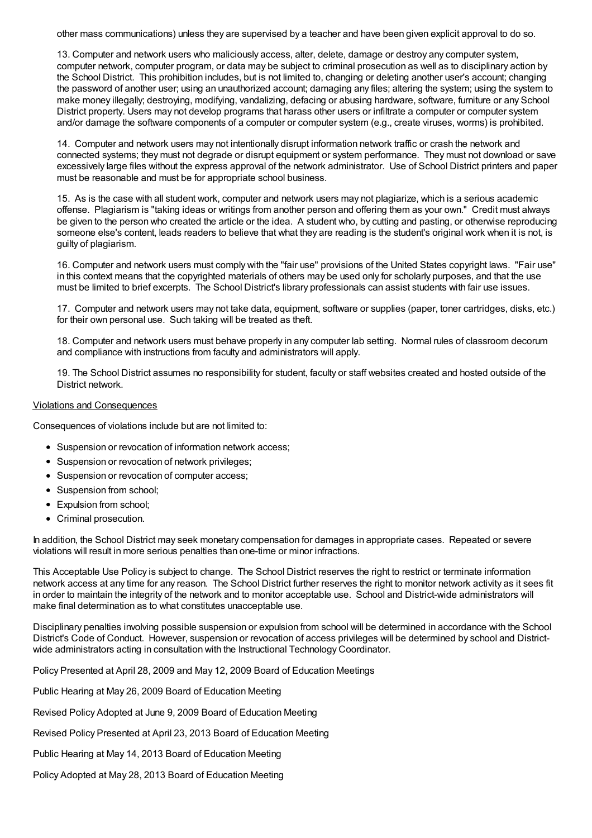other mass communications) unless they are supervised by a teacher and have been given explicit approval to do so.

13. Computer and network users who maliciously access, alter, delete, damage or destroy any computer system, computer network, computer program, or data may be subject to criminal prosecution as well as to disciplinary action by the School District. This prohibition includes, but is not limited to, changing or deleting another user's account; changing the password of another user; using an unauthorized account; damaging any files; altering the system; using the system to make money illegally; destroying, modifying, vandalizing, defacing or abusing hardware, software, furniture or any School District property. Users may not develop programs that harass other users or infiltrate a computer or computer system and/or damage the software components of a computer or computer system (e.g., create viruses, worms) is prohibited.

14. Computer and network users may not intentionally disrupt information network traffic or crash the network and connected systems; they must not degrade or disrupt equipment or system performance. They must not download or save excessively large files without the express approval of the network administrator. Use of School District printers and paper must be reasonable and must be for appropriate school business.

15. As is the case with all student work, computer and network users may not plagiarize, which is a serious academic offense. Plagiarism is "taking ideas or writings from another person and offering them as your own." Credit must always be given to the person who created the article or the idea. A student who, by cutting and pasting, or otherwise reproducing someone else's content, leads readers to believe that what they are reading is the student's original work when it is not, is guilty of plagiarism.

16. Computer and network users must comply with the "fair use" provisions of the United States copyright laws. "Fair use" in this context means that the copyrighted materials of others may be used only for scholarly purposes, and that the use must be limited to brief excerpts. The School District's library professionals can assist students with fair use issues.

17. Computer and network users may not take data, equipment, software or supplies (paper, toner cartridges, disks, etc.) for their own personal use. Such taking will be treated as theft.

18. Computer and network users must behave properly in any computer lab setting. Normal rules of classroom decorum and compliance with instructions from faculty and administrators will apply.

19. The School District assumes no responsibility for student, faculty or staff websites created and hosted outside of the District network.

# Violations and Consequences

Consequences of violations include but are not limited to:

- Suspension or revocation of information network access;
- Suspension or revocation of network privileges;
- Suspension or revocation of computer access;
- Suspension from school:
- Expulsion from school;
- Criminal prosecution.

In addition, the School District may seek monetary compensation for damages in appropriate cases. Repeated or severe violations will result in more serious penalties than one-time or minor infractions.

This Acceptable Use Policy is subject to change. The School District reserves the right to restrict or terminate information network access at any time for any reason. The School District further reserves the right to monitor network activity as it sees fit in order to maintain the integrity of the network and to monitor acceptable use. School and District-wide administrators will make final determination as to what constitutes unacceptable use.

Disciplinary penalties involving possible suspension or expulsion from school will be determined in accordance with the School District's Code of Conduct. However, suspension or revocation of access privileges will be determined by school and Districtwide administrators acting in consultation with the Instructional Technology Coordinator.

Policy Presented at April 28, 2009 and May 12, 2009 Board of Education Meetings

Public Hearing at May 26, 2009 Board of Education Meeting

Revised Policy Adopted at June 9, 2009 Board of Education Meeting

Revised Policy Presented at April 23, 2013 Board of Education Meeting

Public Hearing at May 14, 2013 Board of Education Meeting

Policy Adopted at May 28, 2013 Board of Education Meeting